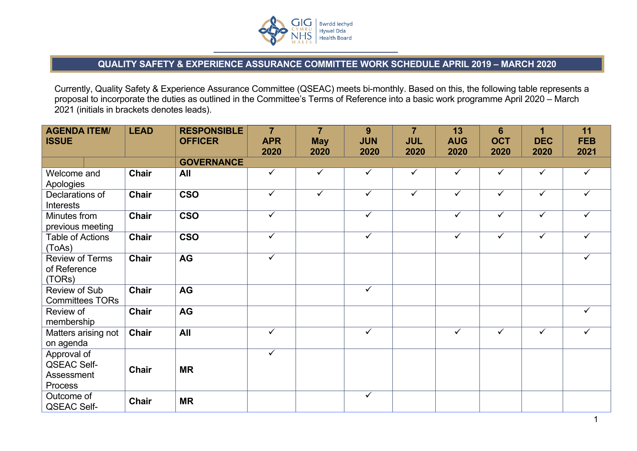

## **QUALITY SAFETY & EXPERIENCE ASSURANCE COMMITTEE WORK SCHEDULE APRIL 2019 – MARCH 2020**

Currently, Quality Safety & Experience Assurance Committee (QSEAC) meets bi-monthly. Based on this, the following table represents a proposal to incorporate the duties as outlined in the Committee's Terms of Reference into a basic work programme April 2020 – March 2021 (initials in brackets denotes leads).

| <b>AGENDA ITEM/</b><br><b>ISSUE</b>                        | <b>LEAD</b>  | <b>RESPONSIBLE</b><br><b>OFFICER</b> | $\overline{7}$<br><b>APR</b><br>2020 | $\overline{7}$<br><b>May</b><br>2020 | 9<br><b>JUN</b><br>2020 | $\overline{7}$<br><b>JUL</b><br>2020 | 13<br><b>AUG</b><br>2020 | $6\phantom{1}$<br><b>OCT</b><br>2020 | 1<br><b>DEC</b><br>2020 | 11<br><b>FEB</b><br>2021 |
|------------------------------------------------------------|--------------|--------------------------------------|--------------------------------------|--------------------------------------|-------------------------|--------------------------------------|--------------------------|--------------------------------------|-------------------------|--------------------------|
|                                                            |              | <b>GOVERNANCE</b>                    |                                      |                                      |                         |                                      |                          |                                      |                         |                          |
| Welcome and<br>Apologies                                   | <b>Chair</b> | All                                  | $\checkmark$                         | $\checkmark$                         | $\checkmark$            | $\checkmark$                         | $\checkmark$             | $\checkmark$                         | $\checkmark$            | $\checkmark$             |
| Declarations of<br>Interests                               | <b>Chair</b> | <b>CSO</b>                           | $\checkmark$                         | $\checkmark$                         | $\checkmark$            | $\checkmark$                         | $\checkmark$             | $\checkmark$                         | $\checkmark$            | $\checkmark$             |
| Minutes from<br>previous meeting                           | <b>Chair</b> | <b>CSO</b>                           | $\overline{\checkmark}$              |                                      | $\checkmark$            |                                      | $\checkmark$             | $\overline{\checkmark}$              | $\checkmark$            | $\checkmark$             |
| <b>Table of Actions</b><br>(ToAs)                          | <b>Chair</b> | <b>CSO</b>                           | $\checkmark$                         |                                      | $\checkmark$            |                                      | $\checkmark$             | $\checkmark$                         | $\tilde{\checkmark}$    | $\checkmark$             |
| <b>Review of Terms</b><br>of Reference<br>(TORs)           | <b>Chair</b> | AG                                   | $\checkmark$                         |                                      |                         |                                      |                          |                                      |                         | $\checkmark$             |
| <b>Review of Sub</b><br><b>Committees TORs</b>             | <b>Chair</b> | AG                                   |                                      |                                      | $\overline{\checkmark}$ |                                      |                          |                                      |                         |                          |
| Review of<br>membership                                    | <b>Chair</b> | AG                                   |                                      |                                      |                         |                                      |                          |                                      |                         | ✓                        |
| Matters arising not<br>on agenda                           | <b>Chair</b> | <b>All</b>                           | $\overline{\checkmark}$              |                                      | $\checkmark$            |                                      | $\checkmark$             | $\checkmark$                         | $\checkmark$            | $\checkmark$             |
| Approval of<br><b>QSEAC Self-</b><br>Assessment<br>Process | <b>Chair</b> | <b>MR</b>                            | $\overline{\checkmark}$              |                                      |                         |                                      |                          |                                      |                         |                          |
| Outcome of<br><b>QSEAC Self-</b>                           | <b>Chair</b> | <b>MR</b>                            |                                      |                                      | $\checkmark$            |                                      |                          |                                      |                         |                          |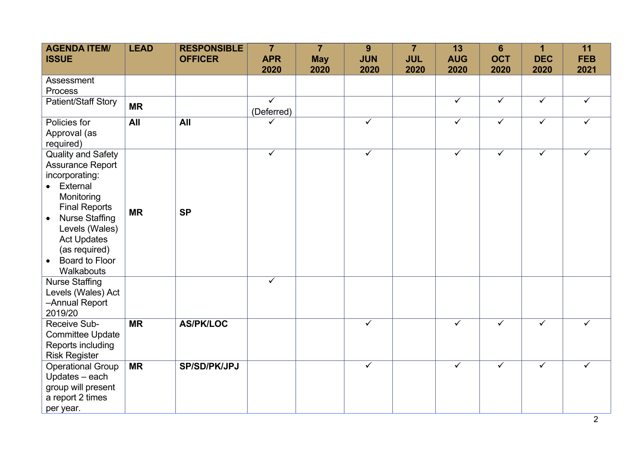| <b>AGENDA ITEM/</b><br><b>ISSUE</b>                                                                                                                                                                                                                                           | <b>LEAD</b> | <b>RESPONSIBLE</b><br><b>OFFICER</b> | $\overline{7}$<br><b>APR</b>    | $\overline{7}$<br><b>May</b> | 9<br><b>JUN</b>         | $\overline{7}$<br><b>JUL</b> | 13<br><b>AUG</b>     | $6\phantom{1}$<br><b>OCT</b>    | 1<br><b>DEC</b>                 | 11<br><b>FEB</b>     |
|-------------------------------------------------------------------------------------------------------------------------------------------------------------------------------------------------------------------------------------------------------------------------------|-------------|--------------------------------------|---------------------------------|------------------------------|-------------------------|------------------------------|----------------------|---------------------------------|---------------------------------|----------------------|
| Assessment<br>Process<br>Patient/Staff Story                                                                                                                                                                                                                                  | <b>MR</b>   |                                      | 2020<br>$\overline{\checkmark}$ | 2020                         | 2020                    | 2020                         | 2020<br>$\checkmark$ | 2020<br>$\overline{\checkmark}$ | 2020<br>$\overline{\checkmark}$ | 2021<br>$\checkmark$ |
| Policies for<br>Approval (as<br>required)                                                                                                                                                                                                                                     | All         | All                                  | (Deferred)<br>$\checkmark$      |                              | $\checkmark$            |                              | $\checkmark$         | $\checkmark$                    | $\checkmark$                    | $\checkmark$         |
| <b>Quality and Safety</b><br><b>Assurance Report</b><br>incorporating:<br>• External<br>Monitoring<br><b>Final Reports</b><br><b>Nurse Staffing</b><br>$\bullet$<br>Levels (Wales)<br><b>Act Updates</b><br>(as required)<br><b>Board to Floor</b><br>$\bullet$<br>Walkabouts | <b>MR</b>   | <b>SP</b>                            | $\checkmark$                    |                              | $\checkmark$            |                              | $\checkmark$         | $\checkmark$                    | $\checkmark$                    | ✓                    |
| <b>Nurse Staffing</b><br>Levels (Wales) Act<br>-Annual Report<br>2019/20                                                                                                                                                                                                      |             |                                      | $\checkmark$                    |                              |                         |                              |                      |                                 |                                 |                      |
| Receive Sub-<br><b>Committee Update</b><br>Reports including<br><b>Risk Register</b>                                                                                                                                                                                          | <b>MR</b>   | <b>AS/PK/LOC</b>                     |                                 |                              | $\checkmark$            |                              | $\checkmark$         | $\overline{\checkmark}$         | $\overline{\checkmark}$         | $\checkmark$         |
| <b>Operational Group</b><br>Updates - each<br>group will present<br>a report 2 times<br>per year.                                                                                                                                                                             | <b>MR</b>   | <b>SP/SD/PK/JPJ</b>                  |                                 |                              | $\overline{\checkmark}$ |                              | $\checkmark$         | $\overline{\checkmark}$         | $\overline{\checkmark}$         | $\checkmark$         |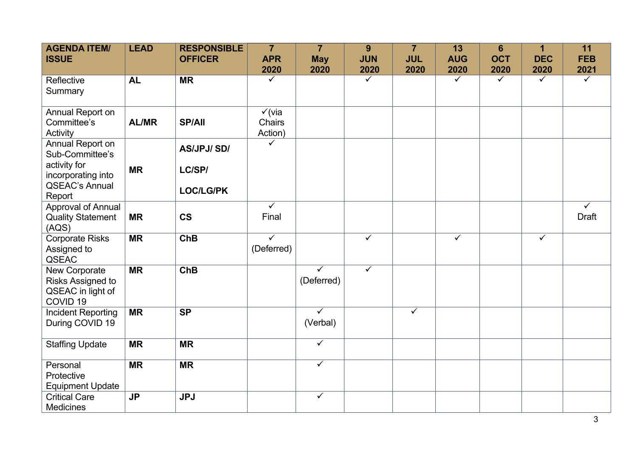| <b>AGENDA ITEM/</b><br><b>ISSUE</b>                                            | <b>LEAD</b>    | <b>RESPONSIBLE</b><br><b>OFFICER</b> | $\overline{7}$<br><b>APR</b><br>2020   | $\overline{7}$<br><b>May</b><br>2020  | 9<br><b>JUN</b><br>2020 | $\overline{7}$<br><b>JUL</b><br>2020 | 13<br><b>AUG</b><br>2020 | $6\phantom{1}$<br><b>OCT</b><br>2020 | 1<br><b>DEC</b><br>2020 | 11<br><b>FEB</b><br>2021                |
|--------------------------------------------------------------------------------|----------------|--------------------------------------|----------------------------------------|---------------------------------------|-------------------------|--------------------------------------|--------------------------|--------------------------------------|-------------------------|-----------------------------------------|
| Reflective<br>Summary                                                          | <b>AL</b>      | <b>MR</b>                            | $\sqrt{}$                              |                                       | $\overline{\checkmark}$ |                                      | $\checkmark$             | $\sqrt{}$                            | $\checkmark$            | $\checkmark$                            |
| Annual Report on<br>Committee's<br>Activity                                    | <b>AL/MR</b>   | <b>SP/All</b>                        | $\checkmark$ (via<br>Chairs<br>Action) |                                       |                         |                                      |                          |                                      |                         |                                         |
| Annual Report on<br>Sub-Committee's<br>activity for<br>incorporating into      | <b>MR</b>      | <b>AS/JPJ/SD/</b><br>LC/SP/          | ✓                                      |                                       |                         |                                      |                          |                                      |                         |                                         |
| <b>QSEAC's Annual</b><br>Report                                                |                | <b>LOC/LG/PK</b>                     |                                        |                                       |                         |                                      |                          |                                      |                         |                                         |
| Approval of Annual<br><b>Quality Statement</b><br>(AQS)                        | <b>MR</b>      | $\mathsf{CS}\phantom{0}$             | $\overline{\checkmark}$<br>Final       |                                       |                         |                                      |                          |                                      |                         | $\overline{\checkmark}$<br><b>Draft</b> |
| <b>Corporate Risks</b><br>Assigned to<br>QSEAC                                 | <b>MR</b>      | ChB                                  | $\overline{\checkmark}$<br>(Deferred)  |                                       | $\checkmark$            |                                      | $\checkmark$             |                                      | $\checkmark$            |                                         |
| New Corporate<br>Risks Assigned to<br>QSEAC in light of<br>COVID <sub>19</sub> | <b>MR</b>      | <b>ChB</b>                           |                                        | $\overline{\checkmark}$<br>(Deferred) | $\checkmark$            |                                      |                          |                                      |                         |                                         |
| <b>Incident Reporting</b><br>During COVID 19                                   | <b>MR</b>      | <b>SP</b>                            |                                        | $\checkmark$<br>(Verbal)              |                         | $\checkmark$                         |                          |                                      |                         |                                         |
| <b>Staffing Update</b>                                                         | <b>MR</b>      | <b>MR</b>                            |                                        | $\checkmark$                          |                         |                                      |                          |                                      |                         |                                         |
| Personal<br>Protective<br><b>Equipment Update</b>                              | <b>MR</b>      | <b>MR</b>                            |                                        | $\checkmark$                          |                         |                                      |                          |                                      |                         |                                         |
| <b>Critical Care</b><br><b>Medicines</b>                                       | J <sub>P</sub> | <b>JPJ</b>                           |                                        | $\checkmark$                          |                         |                                      |                          |                                      |                         |                                         |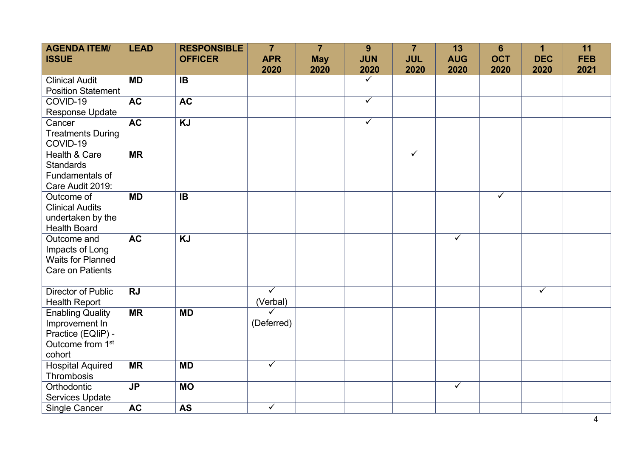| <b>AGENDA ITEM/</b><br><b>ISSUE</b> | <b>LEAD</b> | <b>RESPONSIBLE</b><br><b>OFFICER</b> | $\overline{7}$<br><b>APR</b> | $\overline{7}$<br><b>May</b> | 9<br><b>JUN</b> | $\overline{7}$<br><b>JUL</b> | 13<br><b>AUG</b>        | $6\phantom{1}$<br><b>OCT</b> | 1<br><b>DEC</b> | 11<br><b>FEB</b> |
|-------------------------------------|-------------|--------------------------------------|------------------------------|------------------------------|-----------------|------------------------------|-------------------------|------------------------------|-----------------|------------------|
|                                     |             |                                      | 2020                         | 2020                         | 2020            | 2020                         | 2020                    | 2020                         | 2020            | 2021             |
| <b>Clinical Audit</b>               | <b>MD</b>   | <b>IB</b>                            |                              |                              | $\checkmark$    |                              |                         |                              |                 |                  |
| <b>Position Statement</b>           |             |                                      |                              |                              |                 |                              |                         |                              |                 |                  |
| COVID-19                            | <b>AC</b>   | <b>AC</b>                            |                              |                              | $\checkmark$    |                              |                         |                              |                 |                  |
| <b>Response Update</b>              |             |                                      |                              |                              |                 |                              |                         |                              |                 |                  |
| Cancer                              | <b>AC</b>   | <b>KJ</b>                            |                              |                              | $\checkmark$    |                              |                         |                              |                 |                  |
| <b>Treatments During</b>            |             |                                      |                              |                              |                 |                              |                         |                              |                 |                  |
| COVID-19                            |             |                                      |                              |                              |                 |                              |                         |                              |                 |                  |
| Health & Care                       | <b>MR</b>   |                                      |                              |                              |                 | $\checkmark$                 |                         |                              |                 |                  |
| <b>Standards</b>                    |             |                                      |                              |                              |                 |                              |                         |                              |                 |                  |
| Fundamentals of                     |             |                                      |                              |                              |                 |                              |                         |                              |                 |                  |
| Care Audit 2019:                    |             |                                      |                              |                              |                 |                              |                         |                              |                 |                  |
| Outcome of                          | <b>MD</b>   | <b>IB</b>                            |                              |                              |                 |                              |                         | $\overline{\checkmark}$      |                 |                  |
| <b>Clinical Audits</b>              |             |                                      |                              |                              |                 |                              |                         |                              |                 |                  |
| undertaken by the                   |             |                                      |                              |                              |                 |                              |                         |                              |                 |                  |
| <b>Health Board</b>                 |             |                                      |                              |                              |                 |                              |                         |                              |                 |                  |
| Outcome and                         | <b>AC</b>   | <b>KJ</b>                            |                              |                              |                 |                              | $\overline{\checkmark}$ |                              |                 |                  |
| Impacts of Long                     |             |                                      |                              |                              |                 |                              |                         |                              |                 |                  |
| <b>Waits for Planned</b>            |             |                                      |                              |                              |                 |                              |                         |                              |                 |                  |
| <b>Care on Patients</b>             |             |                                      |                              |                              |                 |                              |                         |                              |                 |                  |
|                                     |             |                                      |                              |                              |                 |                              |                         |                              |                 |                  |
| <b>Director of Public</b>           | <b>RJ</b>   |                                      | $\overline{\checkmark}$      |                              |                 |                              |                         |                              | $\checkmark$    |                  |
| <b>Health Report</b>                |             |                                      | (Verbal)                     |                              |                 |                              |                         |                              |                 |                  |
| <b>Enabling Quality</b>             | <b>MR</b>   | <b>MD</b>                            | ✓                            |                              |                 |                              |                         |                              |                 |                  |
| Improvement In                      |             |                                      | (Deferred)                   |                              |                 |                              |                         |                              |                 |                  |
| Practice (EQIiP) -                  |             |                                      |                              |                              |                 |                              |                         |                              |                 |                  |
| Outcome from 1 <sup>st</sup>        |             |                                      |                              |                              |                 |                              |                         |                              |                 |                  |
| cohort                              |             |                                      |                              |                              |                 |                              |                         |                              |                 |                  |
| <b>Hospital Aquired</b>             | <b>MR</b>   | <b>MD</b>                            | $\checkmark$                 |                              |                 |                              |                         |                              |                 |                  |
| Thrombosis                          |             |                                      |                              |                              |                 |                              |                         |                              |                 |                  |
| Orthodontic                         | <b>JP</b>   | <b>MO</b>                            |                              |                              |                 |                              | $\checkmark$            |                              |                 |                  |
| <b>Services Update</b>              |             |                                      |                              |                              |                 |                              |                         |                              |                 |                  |
| <b>Single Cancer</b>                | <b>AC</b>   | <b>AS</b>                            | $\overline{\checkmark}$      |                              |                 |                              |                         |                              |                 |                  |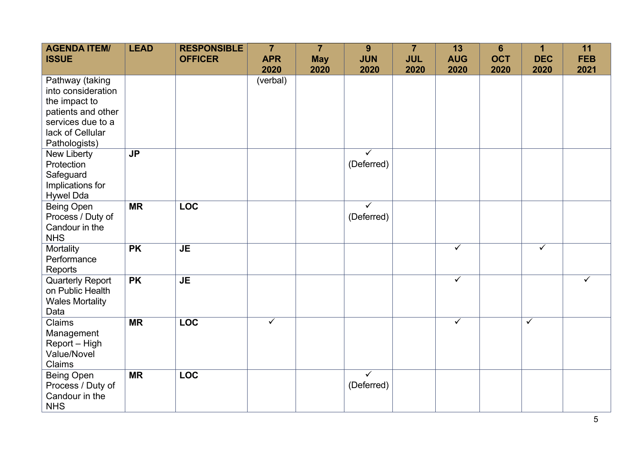| <b>AGENDA ITEM/</b><br><b>ISSUE</b>                                                                                                    | <b>LEAD</b> | <b>RESPONSIBLE</b><br><b>OFFICER</b> | $\overline{7}$<br><b>APR</b><br>2020 | $\overline{7}$<br><b>May</b><br>2020 | 9<br><b>JUN</b><br>2020               | $\overline{7}$<br><b>JUL</b><br>2020 | 13<br><b>AUG</b><br>2020 | $6\phantom{a}$<br><b>OCT</b><br>2020 | 1<br><b>DEC</b><br>2020 | 11<br><b>FEB</b><br>2021 |
|----------------------------------------------------------------------------------------------------------------------------------------|-------------|--------------------------------------|--------------------------------------|--------------------------------------|---------------------------------------|--------------------------------------|--------------------------|--------------------------------------|-------------------------|--------------------------|
| Pathway (taking<br>into consideration<br>the impact to<br>patients and other<br>services due to a<br>lack of Cellular<br>Pathologists) |             |                                      | (verbal)                             |                                      |                                       |                                      |                          |                                      |                         |                          |
| New Liberty<br>Protection<br>Safeguard<br>Implications for<br><b>Hywel Dda</b>                                                         | <b>JP</b>   |                                      |                                      |                                      | $\checkmark$<br>(Deferred)            |                                      |                          |                                      |                         |                          |
| Being Open<br>Process / Duty of<br>Candour in the<br><b>NHS</b>                                                                        | <b>MR</b>   | <b>LOC</b>                           |                                      |                                      | $\overline{\checkmark}$<br>(Deferred) |                                      |                          |                                      |                         |                          |
| Mortality<br>Performance<br>Reports                                                                                                    | <b>PK</b>   | <b>JE</b>                            |                                      |                                      |                                       |                                      | $\overline{\checkmark}$  |                                      | $\overline{\checkmark}$ |                          |
| <b>Quarterly Report</b><br>on Public Health<br><b>Wales Mortality</b><br>Data                                                          | <b>PK</b>   | <b>JE</b>                            |                                      |                                      |                                       |                                      | $\checkmark$             |                                      |                         | $\checkmark$             |
| Claims<br>Management<br>Report - High<br><b>Value/Novel</b><br>Claims                                                                  | <b>MR</b>   | <b>LOC</b>                           | $\overline{\checkmark}$              |                                      |                                       |                                      | $\overline{\checkmark}$  |                                      | $\overline{\checkmark}$ |                          |
| <b>Being Open</b><br>Process / Duty of<br>Candour in the<br><b>NHS</b>                                                                 | <b>MR</b>   | <b>LOC</b>                           |                                      |                                      | ✓<br>(Deferred)                       |                                      |                          |                                      |                         |                          |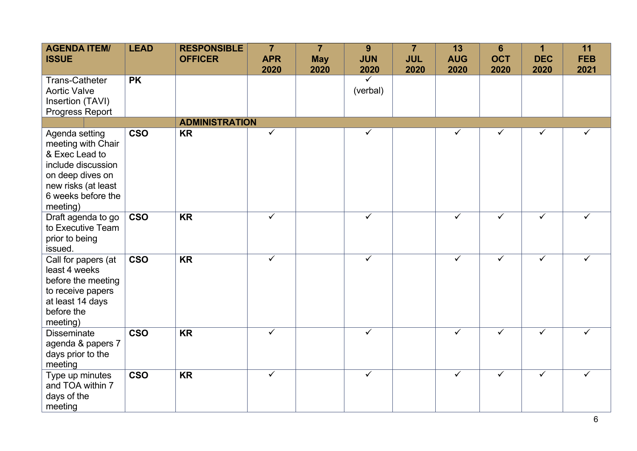| <b>AGENDA ITEM/</b><br><b>ISSUE</b>                                                                                                                       | <b>LEAD</b> | <b>RESPONSIBLE</b><br><b>OFFICER</b> | $\overline{7}$<br><b>APR</b><br>2020 | $\overline{7}$<br><b>May</b><br>2020 | 9<br><b>JUN</b><br>2020 | $\overline{7}$<br><b>JUL</b><br>2020 | 13<br><b>AUG</b><br>2020 | $6\phantom{1}$<br><b>OCT</b><br>2020 | $\blacktriangleleft$<br><b>DEC</b><br>2020 | 11<br><b>FEB</b><br>2021 |
|-----------------------------------------------------------------------------------------------------------------------------------------------------------|-------------|--------------------------------------|--------------------------------------|--------------------------------------|-------------------------|--------------------------------------|--------------------------|--------------------------------------|--------------------------------------------|--------------------------|
| <b>Trans-Catheter</b>                                                                                                                                     | <b>PK</b>   |                                      |                                      |                                      | $\overline{\checkmark}$ |                                      |                          |                                      |                                            |                          |
| <b>Aortic Valve</b><br>Insertion (TAVI)                                                                                                                   |             |                                      |                                      |                                      | (verbal)                |                                      |                          |                                      |                                            |                          |
| Progress Report                                                                                                                                           |             |                                      |                                      |                                      |                         |                                      |                          |                                      |                                            |                          |
|                                                                                                                                                           |             | <b>ADMINISTRATION</b>                |                                      |                                      |                         |                                      |                          |                                      |                                            |                          |
| Agenda setting<br>meeting with Chair<br>& Exec Lead to<br>include discussion<br>on deep dives on<br>new risks (at least<br>6 weeks before the<br>meeting) | <b>CSO</b>  | <b>KR</b>                            | $\checkmark$                         |                                      | $\checkmark$            |                                      | ✓                        | ✓                                    | ✓                                          | ✓                        |
| Draft agenda to go<br>to Executive Team<br>prior to being<br>issued.                                                                                      | <b>CSO</b>  | <b>KR</b>                            | $\checkmark$                         |                                      | $\checkmark$            |                                      | $\checkmark$             | $\checkmark$                         | $\checkmark$                               | ✓                        |
| Call for papers (at<br>least 4 weeks<br>before the meeting<br>to receive papers<br>at least 14 days<br>before the<br>meeting)                             | <b>CSO</b>  | <b>KR</b>                            | $\checkmark$                         |                                      | $\checkmark$            |                                      | $\overline{\checkmark}$  | $\checkmark$                         | $\checkmark$                               | ✓                        |
| <b>Disseminate</b><br>agenda & papers 7<br>days prior to the<br>meeting                                                                                   | <b>CSO</b>  | <b>KR</b>                            | $\checkmark$                         |                                      | $\checkmark$            |                                      | $\overline{\checkmark}$  | $\checkmark$                         | $\overline{\checkmark}$                    | ✓                        |
| Type up minutes<br>and TOA within 7<br>days of the<br>meeting                                                                                             | <b>CSO</b>  | <b>KR</b>                            | $\checkmark$                         |                                      | $\checkmark$            |                                      | $\checkmark$             | $\checkmark$                         | ✓                                          | ✓                        |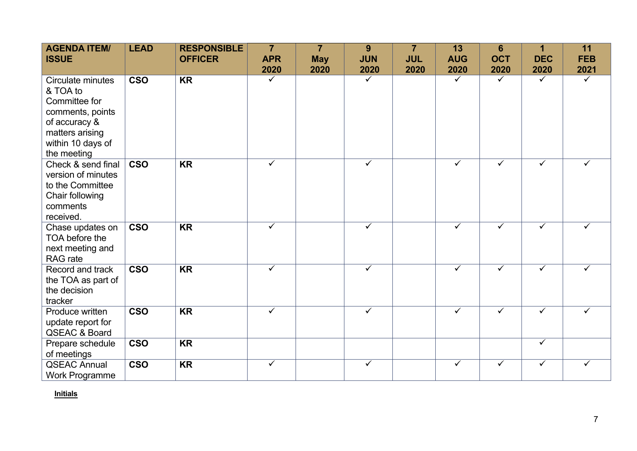| <b>AGENDA ITEM/</b><br><b>ISSUE</b>                                                                                                        | <b>LEAD</b>             | <b>RESPONSIBLE</b><br><b>OFFICER</b> | $\overline{7}$<br><b>APR</b><br>2020 | $\overline{7}$<br><b>May</b><br>2020 | 9<br><b>JUN</b><br>2020 | $\overline{7}$<br><b>JUL</b><br>2020 | 13<br><b>AUG</b><br>2020 | $6\phantom{1}$<br><b>OCT</b><br>2020 | 1<br><b>DEC</b><br>2020 | 11<br><b>FEB</b><br>2021 |
|--------------------------------------------------------------------------------------------------------------------------------------------|-------------------------|--------------------------------------|--------------------------------------|--------------------------------------|-------------------------|--------------------------------------|--------------------------|--------------------------------------|-------------------------|--------------------------|
| Circulate minutes<br>& TOA to<br>Committee for<br>comments, points<br>of accuracy &<br>matters arising<br>within 10 days of<br>the meeting | <b>CSO</b>              | <b>KR</b>                            | ✓                                    |                                      | $\checkmark$            |                                      | $\checkmark$             | ✓                                    | $\checkmark$            | ✓                        |
| Check & send final<br>version of minutes<br>to the Committee<br>Chair following<br>comments<br>received.                                   | <b>CSO</b>              | <b>KR</b>                            | $\checkmark$                         |                                      | $\checkmark$            |                                      | $\checkmark$             | $\checkmark$                         | $\checkmark$            | ✓                        |
| Chase updates on<br>TOA before the<br>next meeting and<br><b>RAG</b> rate                                                                  | <b>CSO</b>              | $\overline{\text{KR}}$               | $\checkmark$                         |                                      | $\overline{\checkmark}$ |                                      | $\overline{\checkmark}$  | $\overline{\checkmark}$              | $\overline{\checkmark}$ | ✓                        |
| Record and track<br>the TOA as part of<br>the decision<br>tracker                                                                          | <b>CSO</b>              | <b>KR</b>                            | $\checkmark$                         |                                      | $\checkmark$            |                                      | $\checkmark$             | $\checkmark$                         | $\checkmark$            | ✓                        |
| Produce written<br>update report for<br><b>QSEAC &amp; Board</b>                                                                           | $\overline{\text{cso}}$ | <b>KR</b>                            | $\checkmark$                         |                                      | $\checkmark$            |                                      | $\checkmark$             | $\checkmark$                         | $\overline{\checkmark}$ | ✓                        |
| Prepare schedule<br>of meetings                                                                                                            | <b>CSO</b>              | <b>KR</b>                            |                                      |                                      |                         |                                      |                          |                                      | $\checkmark$            |                          |
| <b>QSEAC Annual</b><br><b>Work Programme</b>                                                                                               | <b>CSO</b>              | <b>KR</b>                            | ✓                                    |                                      | ✓                       |                                      | $\checkmark$             | ✓                                    | $\checkmark$            | ✓                        |

**Initials**